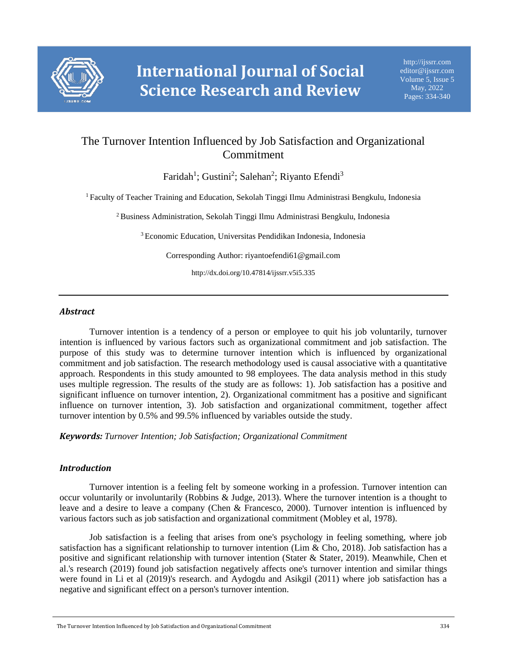

# The Turnover Intention Influenced by Job Satisfaction and Organizational Commitment

Faridah<sup>1</sup>; Gustini<sup>2</sup>; Salehan<sup>2</sup>; Riyanto Efendi<sup>3</sup>

<sup>1</sup> Faculty of Teacher Training and Education, Sekolah Tinggi Ilmu Administrasi Bengkulu, Indonesia

<sup>2</sup> Business Administration, Sekolah Tinggi Ilmu Administrasi Bengkulu, Indonesia

<sup>3</sup> Economic Education, Universitas Pendidikan Indonesia, Indonesia

Corresponding Author: riyantoefendi61@gmail.com

http://dx.doi.org/10.47814/ijssrr.v5i5.335

## *Abstract*

Turnover intention is a tendency of a person or employee to quit his job voluntarily, turnover intention is influenced by various factors such as organizational commitment and job satisfaction. The purpose of this study was to determine turnover intention which is influenced by organizational commitment and job satisfaction. The research methodology used is causal associative with a quantitative approach. Respondents in this study amounted to 98 employees. The data analysis method in this study uses multiple regression. The results of the study are as follows: 1). Job satisfaction has a positive and significant influence on turnover intention, 2). Organizational commitment has a positive and significant influence on turnover intention, 3). Job satisfaction and organizational commitment, together affect turnover intention by 0.5% and 99.5% influenced by variables outside the study.

*Keywords: Turnover Intention; Job Satisfaction; Organizational Commitment*

## *Introduction*

Turnover intention is a feeling felt by someone working in a profession. Turnover intention can occur voluntarily or involuntarily (Robbins & Judge, 2013). Where the turnover intention is a thought to leave and a desire to leave a company (Chen & Francesco, 2000). Turnover intention is influenced by various factors such as job satisfaction and organizational commitment (Mobley et al, 1978).

Job satisfaction is a feeling that arises from one's psychology in feeling something, where job satisfaction has a significant relationship to turnover intention (Lim & Cho, 2018). Job satisfaction has a positive and significant relationship with turnover intention (Stater & Stater, 2019). Meanwhile, Chen et al.'s research (2019) found job satisfaction negatively affects one's turnover intention and similar things were found in Li et al (2019)'s research. and Aydogdu and Asikgil (2011) where job satisfaction has a negative and significant effect on a person's turnover intention.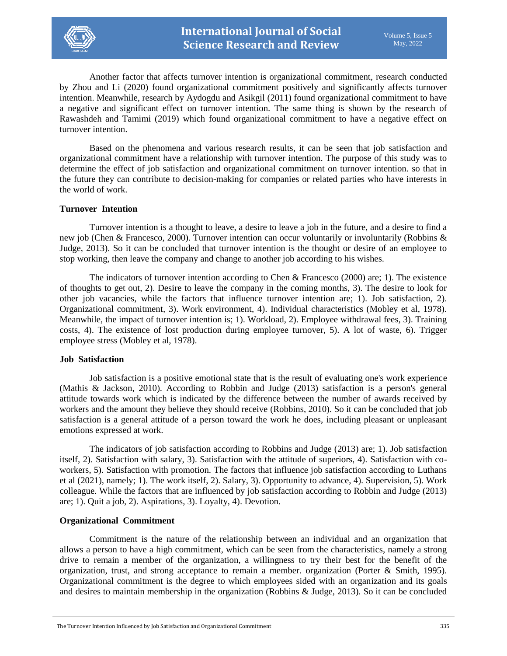

Another factor that affects turnover intention is organizational commitment, research conducted by Zhou and Li (2020) found organizational commitment positively and significantly affects turnover intention. Meanwhile, research by Aydogdu and Asikgil (2011) found organizational commitment to have a negative and significant effect on turnover intention. The same thing is shown by the research of Rawashdeh and Tamimi (2019) which found organizational commitment to have a negative effect on turnover intention.

Based on the phenomena and various research results, it can be seen that job satisfaction and organizational commitment have a relationship with turnover intention. The purpose of this study was to determine the effect of job satisfaction and organizational commitment on turnover intention. so that in the future they can contribute to decision-making for companies or related parties who have interests in the world of work.

#### **Turnover\_Intention**

Turnover intention is a thought to leave, a desire to leave a job in the future, and a desire to find a new job (Chen & Francesco, 2000). Turnover intention can occur voluntarily or involuntarily (Robbins & Judge, 2013). So it can be concluded that turnover intention is the thought or desire of an employee to stop working, then leave the company and change to another job according to his wishes.

The indicators of turnover intention according to Chen & Francesco (2000) are; 1). The existence of thoughts to get out, 2). Desire to leave the company in the coming months, 3). The desire to look for other job vacancies, while the factors that influence turnover intention are; 1). Job satisfaction, 2). Organizational commitment, 3). Work environment, 4). Individual characteristics (Mobley et al, 1978). Meanwhile, the impact of turnover intention is; 1). Workload, 2). Employee withdrawal fees, 3). Training costs, 4). The existence of lost production during employee turnover, 5). A lot of waste, 6). Trigger employee stress (Mobley et al, 1978).

#### **Job\_Satisfaction**

Job satisfaction is a positive emotional state that is the result of evaluating one's work experience (Mathis & Jackson, 2010). According to Robbin and Judge (2013) satisfaction is a person's general attitude towards work which is indicated by the difference between the number of awards received by workers and the amount they believe they should receive (Robbins, 2010). So it can be concluded that job satisfaction is a general attitude of a person toward the work he does, including pleasant or unpleasant emotions expressed at work.

The indicators of job satisfaction according to Robbins and Judge (2013) are; 1). Job satisfaction itself, 2). Satisfaction with salary, 3). Satisfaction with the attitude of superiors, 4). Satisfaction with coworkers, 5). Satisfaction with promotion. The factors that influence job satisfaction according to Luthans et al (2021), namely; 1). The work itself, 2). Salary, 3). Opportunity to advance, 4). Supervision, 5). Work colleague. While the factors that are influenced by job satisfaction according to Robbin and Judge (2013) are; 1). Quit a job, 2). Aspirations, 3). Loyalty, 4). Devotion.

#### **Organizational\_Commitment**

Commitment is the nature of the relationship between an individual and an organization that allows a person to have a high commitment, which can be seen from the characteristics, namely a strong drive to remain a member of the organization, a willingness to try their best for the benefit of the organization, trust, and strong acceptance to remain a member. organization (Porter & Smith, 1995). Organizational commitment is the degree to which employees sided with an organization and its goals and desires to maintain membership in the organization (Robbins & Judge, 2013). So it can be concluded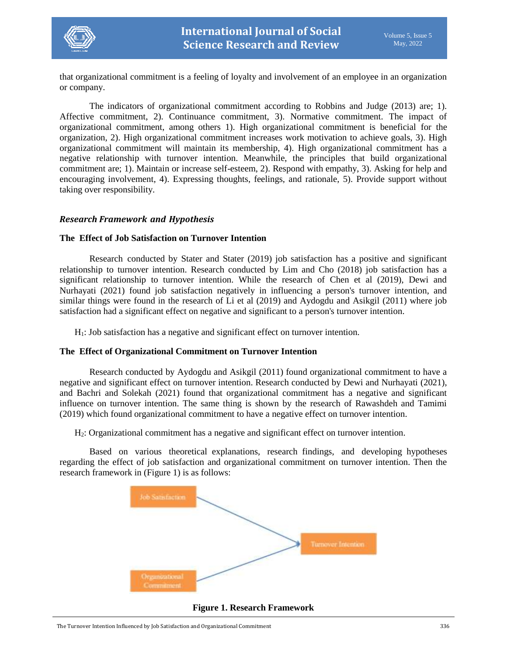

that organizational commitment is a feeling of loyalty and involvement of an employee in an organization or company.

The indicators of organizational commitment according to Robbins and Judge (2013) are; 1). Affective commitment, 2). Continuance commitment, 3). Normative commitment. The impact of organizational commitment, among others 1). High organizational commitment is beneficial for the organization, 2). High organizational commitment increases work motivation to achieve goals, 3). High organizational commitment will maintain its membership, 4). High organizational commitment has a negative relationship with turnover intention. Meanwhile, the principles that build organizational commitment are; 1). Maintain or increase self-esteem, 2). Respond with empathy, 3). Asking for help and encouraging involvement, 4). Expressing thoughts, feelings, and rationale, 5). Provide support without taking over responsibility.

## *Research Framework\_and\_Hypothesis*

## **The\_Effect of Job Satisfaction on Turnover Intention**

Research conducted by Stater and Stater  $(2019)$  job satisfaction has a positive and significant relationship to turnover intention. Research conducted by Lim and Cho (2018) job satisfaction has a significant relationship to turnover intention. While the research of Chen et al (2019), Dewi and Nurhayati (2021) found job satisfaction negatively in influencing a person's turnover intention, and similar things were found in the research of Li et al (2019) and Aydogdu and Asikgil (2011) where job satisfaction had a significant effect on negative and significant to a person's turnover intention.

 $H<sub>1</sub>$ : Job satisfaction has a negative and significant effect on turnover intention.

## **The\_Effect of Organizational Commitment on Turnover Intention**

Research conducted by Aydogdu and Asikgil (2011) found organizational commitment to have a negative and significant effect on turnover intention. Research conducted by Dewi and Nurhayati (2021), and Bachri and Solekah (2021) found that organizational commitment has a negative and significant influence on turnover intention. The same thing is shown by the research of Rawashdeh and Tamimi (2019) which found organizational commitment to have a negative effect on turnover intention.

H2: Organizational commitment has a negative and significant effect on turnover intention.

Based on various theoretical explanations, research findings, and developing hypotheses regarding the effect of job satisfaction and organizational commitment on turnover intention. Then the research framework in (Figure 1) is as follows:



**Figure 1. Research Framework**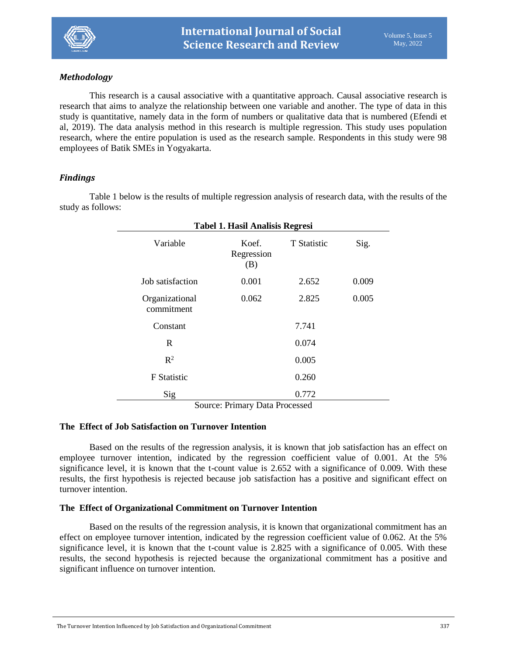

# *Methodology*

This research is a causal associative with a quantitative approach. Causal associative research is research that aims to analyze the relationship between one variable and another. The type of data in this study is quantitative, namely data in the form of numbers or qualitative data that is numbered (Efendi et al, 2019). The data analysis method in this research is multiple regression. This study uses population research, where the entire population is used as the research sample. Respondents in this study were 98 employees of Batik SMEs in Yogyakarta.

# *Findings*

Table 1 below is the results of multiple regression analysis of research data, with the results of the study as follows:

| <b>Tabel 1. Hasil Analisis Regresi</b> |                            |                    |       |
|----------------------------------------|----------------------------|--------------------|-------|
| Variable                               | Koef.<br>Regression<br>(B) | <b>T</b> Statistic | Sig.  |
| Job satisfaction                       | 0.001                      | 2.652              | 0.009 |
| Organizational<br>commitment           | 0.062                      | 2.825              | 0.005 |
| Constant                               |                            | 7.741              |       |
| R                                      |                            | 0.074              |       |
| $\mathbb{R}^2$                         |                            | 0.005              |       |
| <b>F</b> Statistic                     |                            | 0.260              |       |
| Sig                                    |                            | 0.772              |       |
| Course Duissen, Data Ducassard         |                            |                    |       |

Source: Primary Data Processed

## **The\_Effect of Job Satisfaction on Turnover Intention**

Based on the results of the regression analysis, it is known that job satisfaction has an effect on employee turnover intention, indicated by the regression coefficient value of 0.001. At the 5% significance level, it is known that the t-count value is 2.652 with a significance of 0.009. With these results, the first hypothesis is rejected because job satisfaction has a positive and significant effect on turnover intention.

## **The\_Effect of Organizational Commitment on Turnover Intention**

Based on the results of the regression analysis, it is known that organizational commitment has an effect on employee turnover intention, indicated by the regression coefficient value of 0.062. At the 5% significance level, it is known that the t-count value is 2.825 with a significance of 0.005. With these results, the second hypothesis is rejected because the organizational commitment has a positive and significant influence on turnover intention.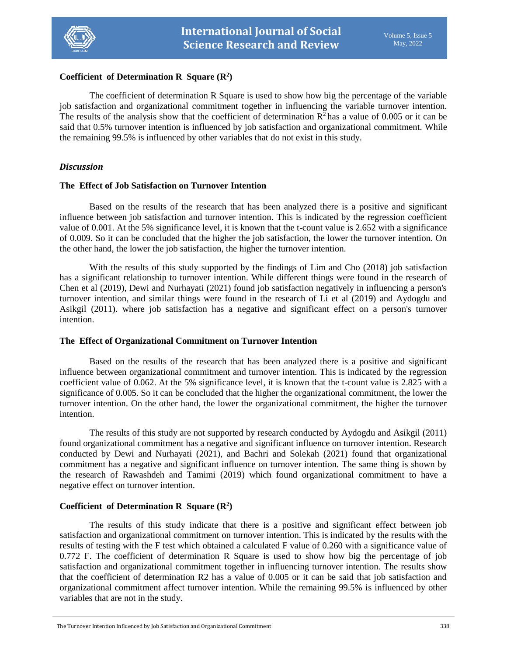

## **Coefficient\_of Determination R\_Square (R<sup>2</sup> )**

The coefficient of determination R Square is used to show how big the percentage of the variable job satisfaction and organizational commitment together in influencing the variable turnover intention. The results of the analysis show that the coefficient of determination  $R^2$  has a value of 0.005 or it can be said that 0.5% turnover intention is influenced by job satisfaction and organizational commitment. While the remaining 99.5% is influenced by other variables that do not exist in this study.

## *Discussion*

#### **The\_Effect of Job Satisfaction on Turnover Intention**

Based on the results of the research that has been analyzed there is a positive and significant influence between job satisfaction and turnover intention. This is indicated by the regression coefficient value of 0.001. At the 5% significance level, it is known that the t-count value is 2.652 with a significance of 0.009. So it can be concluded that the higher the job satisfaction, the lower the turnover intention. On the other hand, the lower the job satisfaction, the higher the turnover intention.

With the results of this study supported by the findings of Lim and Cho (2018) job satisfaction has a significant relationship to turnover intention. While different things were found in the research of Chen et al (2019), Dewi and Nurhayati (2021) found job satisfaction negatively in influencing a person's turnover intention, and similar things were found in the research of Li et al (2019) and Aydogdu and Asikgil (2011). where job satisfaction has a negative and significant effect on a person's turnover intention.

## **The\_Effect of Organizational Commitment on Turnover Intention**

Based on the results of the research that has been analyzed there is a positive and significant influence between organizational commitment and turnover intention. This is indicated by the regression coefficient value of 0.062. At the 5% significance level, it is known that the t-count value is 2.825 with a significance of 0.005. So it can be concluded that the higher the organizational commitment, the lower the turnover intention. On the other hand, the lower the organizational commitment, the higher the turnover intention.

The results of this study are not supported by research conducted by Aydogdu and Asikgil (2011) found organizational commitment has a negative and significant influence on turnover intention. Research conducted by Dewi and Nurhayati (2021), and Bachri and Solekah (2021) found that organizational commitment has a negative and significant influence on turnover intention. The same thing is shown by the research of Rawashdeh and Tamimi (2019) which found organizational commitment to have a negative effect on turnover intention.

## Coefficient of Determination R Square  $(R^2)$

The results of this study indicate that there is a positive and significant effect between job satisfaction and organizational commitment on turnover intention. This is indicated by the results with the results of testing with the F test which obtained a calculated F value of 0.260 with a significance value of 0.772 F. The coefficient of determination R Square is used to show how big the percentage of job satisfaction and organizational commitment together in influencing turnover intention. The results show that the coefficient of determination R2 has a value of 0.005 or it can be said that job satisfaction and organizational commitment affect turnover intention. While the remaining 99.5% is influenced by other variables that are not in the study.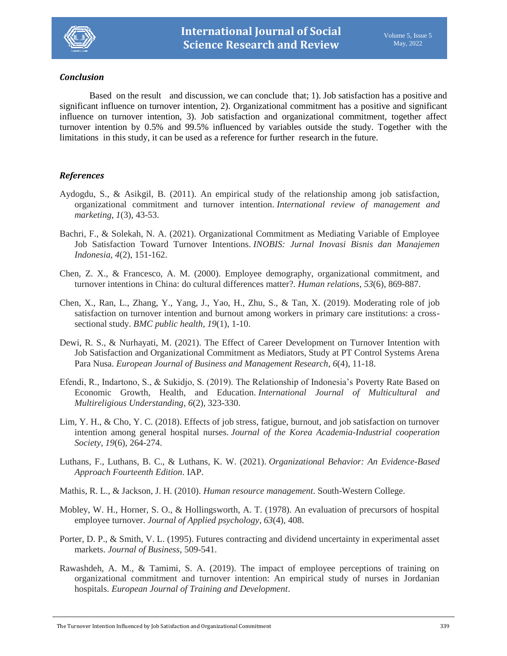

## $Conclusion$

Based on the result and discussion, we can conclude that; 1). Job satisfaction has a positive and significant influence on turnover intention, 2). Organizational commitment has a positive and significant influence on turnover intention, 3). Job satisfaction and organizational commitment, together affect turnover intention by 0.5% and 99.5% influenced by variables outside the study. Together with the limitations in this study, it can be used as a reference for further research in the future.

# *References*

- Aydogdu, S., & Asikgil, B. (2011). An empirical study of the relationship among job satisfaction, organizational commitment and turnover intention. *International review of management and marketing*, *1*(3), 43-53.
- Bachri, F., & Solekah, N. A. (2021). Organizational Commitment as Mediating Variable of Employee Job Satisfaction Toward Turnover Intentions. *INOBIS: Jurnal Inovasi Bisnis dan Manajemen Indonesia*, *4*(2), 151-162.
- Chen, Z. X., & Francesco, A. M. (2000). Employee demography, organizational commitment, and turnover intentions in China: do cultural differences matter?. *Human relations*, *53*(6), 869-887.
- Chen, X., Ran, L., Zhang, Y., Yang, J., Yao, H., Zhu, S., & Tan, X. (2019). Moderating role of job satisfaction on turnover intention and burnout among workers in primary care institutions: a crosssectional study. *BMC public health*, *19*(1), 1-10.
- Dewi, R. S., & Nurhayati, M. (2021). The Effect of Career Development on Turnover Intention with Job Satisfaction and Organizational Commitment as Mediators, Study at PT Control Systems Arena Para Nusa. *European Journal of Business and Management Research*, *6*(4), 11-18.
- Efendi, R., Indartono, S., & Sukidjo, S. (2019). The Relationship of Indonesia's Poverty Rate Based on Economic Growth, Health, and Education. *International Journal of Multicultural and Multireligious Understanding*, *6*(2), 323-330.
- Lim, Y. H., & Cho, Y. C. (2018). Effects of job stress, fatigue, burnout, and job satisfaction on turnover intention among general hospital nurses. *Journal of the Korea Academia-Industrial cooperation Society*, *19*(6), 264-274.
- Luthans, F., Luthans, B. C., & Luthans, K. W. (2021). *Organizational Behavior: An Evidence-Based Approach Fourteenth Edition*. IAP.
- Mathis, R. L., & Jackson, J. H. (2010). *Human resource management*. South-Western College.
- Mobley, W. H., Horner, S. O., & Hollingsworth, A. T. (1978). An evaluation of precursors of hospital employee turnover. *Journal of Applied psychology*, *63*(4), 408.
- Porter, D. P., & Smith, V. L. (1995). Futures contracting and dividend uncertainty in experimental asset markets. *Journal of Business*, 509-541.
- Rawashdeh, A. M., & Tamimi, S. A. (2019). The impact of employee perceptions of training on organizational commitment and turnover intention: An empirical study of nurses in Jordanian hospitals. *European Journal of Training and Development*.